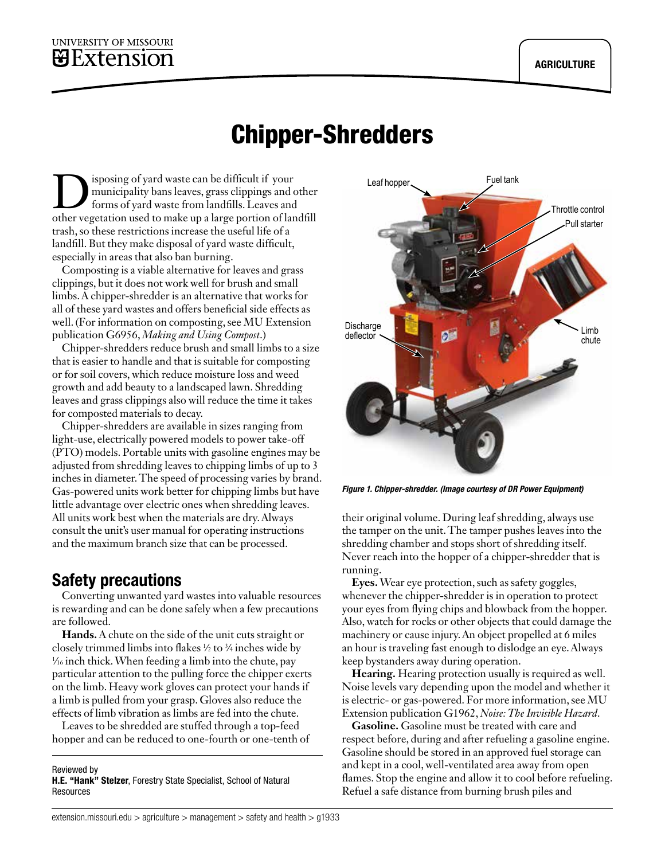## UNIVERSITY OF MISSOURI  $B$ Extension

# Chipper-Shredders

isposing of yard waste can be difficult if your municipality bans leaves, grass clippings and other forms of yard waste from landfills. Leaves and other vegetation used to make up a large portion of landfill trash, so these restrictions increase the useful life of a landfill. But they make disposal of yard waste difficult, especially in areas that also ban burning.

Composting is a viable alternative for leaves and grass clippings, but it does not work well for brush and small limbs. A chipper-shredder is an alternative that works for all of these yard wastes and offers beneficial side effects as well. (For information on composting, see MU Extension publication G6956, *[Making and Using Compost](http://extension.missouri.edu/p/g6956)*.)

Chipper-shredders reduce brush and small limbs to a size that is easier to handle and that is suitable for composting or for soil covers, which reduce moisture loss and weed growth and add beauty to a landscaped lawn. Shredding leaves and grass clippings also will reduce the time it takes for composted materials to decay.

Chipper-shredders are available in sizes ranging from light-use, electrically powered models to power take-off (PTO) models. Portable units with gasoline engines may be adjusted from shredding leaves to chipping limbs of up to 3 inches in diameter. The speed of processing varies by brand. Gas-powered units work better for chipping limbs but have little advantage over electric ones when shredding leaves. All units work best when the materials are dry. Always consult the unit's user manual for operating instructions and the maximum branch size that can be processed.

# Safety precautions

Converting unwanted yard wastes into valuable resources is rewarding and can be done safely when a few precautions are followed.

**Hands.** A chute on the side of the unit cuts straight or closely trimmed limbs into flakes ½ to ¾ inches wide by<br>% inch thick When feeding a limb into the chute, pay ⁄16 inch thick. When feeding a limb into the chute, pay particular attention to the pulling force the chipper exerts on the limb. Heavy work gloves can protect your hands if a limb is pulled from your grasp. Gloves also reduce the effects of limb vibration as limbs are fed into the chute.

Leaves to be shredded are stuffed through a top-feed hopper and can be reduced to one-fourth or one-tenth of

#### Reviewed by H.E. "Hank" Stelzer, Forestry State Specialist, School of Natural Resources



*Figure 1. Chipper-shredder. (Image courtesy of DR Power Equipment)*

their original volume. During leaf shredding, always use the tamper on the unit. The tamper pushes leaves into the shredding chamber and stops short of shredding itself. Never reach into the hopper of a chipper-shredder that is running.

**Eyes.** Wear eye protection, such as safety goggles, whenever the chipper-shredder is in operation to protect your eyes from flying chips and blowback from the hopper. Also, watch for rocks or other objects that could damage the machinery or cause injury. An object propelled at 6 miles an hour is traveling fast enough to dislodge an eye. Always keep bystanders away during operation.

**Hearing.** Hearing protection usually is required as well. Noise levels vary depending upon the model and whether it is electric- or gas-powered. For more information, see MU Extension publication G1962, *[Noise: The Invisible Hazard](http://extension.missouri.edu/p/g1962)*.

**Gasoline.** Gasoline must be treated with care and respect before, during and after refueling a gasoline engine. Gasoline should be stored in an approved fuel storage can and kept in a cool, well-ventilated area away from open flames. Stop the engine and allow it to cool before refueling. Refuel a safe distance from burning brush piles and